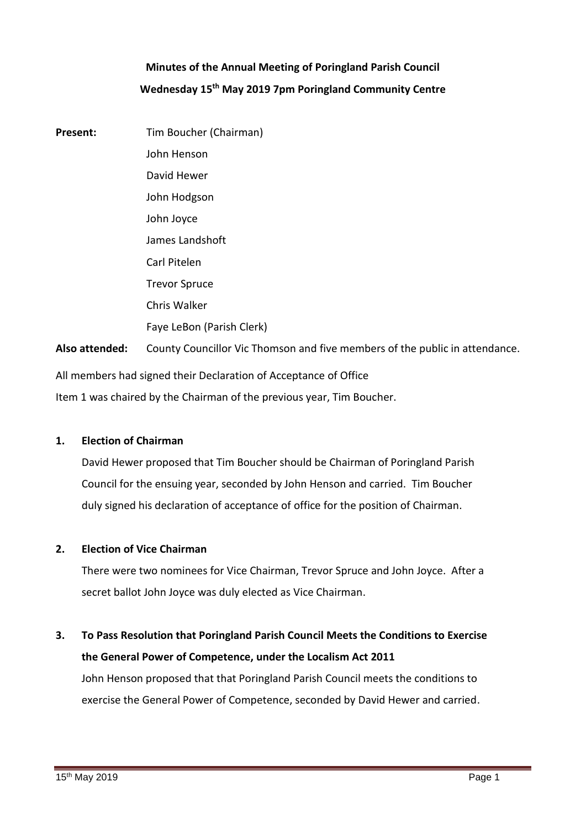# **Minutes of the Annual Meeting of Poringland Parish Council Wednesday 15th May 2019 7pm Poringland Community Centre**

**Present:** Tim Boucher (Chairman) John Henson David Hewer John Hodgson John Joyce James Landshoft Carl Pitelen Trevor Spruce Chris Walker Faye LeBon (Parish Clerk) **Also attended:** County Councillor Vic Thomson and five members of the public in attendance.

All members had signed their Declaration of Acceptance of Office Item 1 was chaired by the Chairman of the previous year, Tim Boucher.

#### **1. Election of Chairman**

David Hewer proposed that Tim Boucher should be Chairman of Poringland Parish Council for the ensuing year, seconded by John Henson and carried. Tim Boucher duly signed his declaration of acceptance of office for the position of Chairman.

#### **2. Election of Vice Chairman**

There were two nominees for Vice Chairman, Trevor Spruce and John Joyce. After a secret ballot John Joyce was duly elected as Vice Chairman.

# **3. To Pass Resolution that Poringland Parish Council Meets the Conditions to Exercise the General Power of Competence, under the Localism Act 2011** John Henson proposed that that Poringland Parish Council meets the conditions to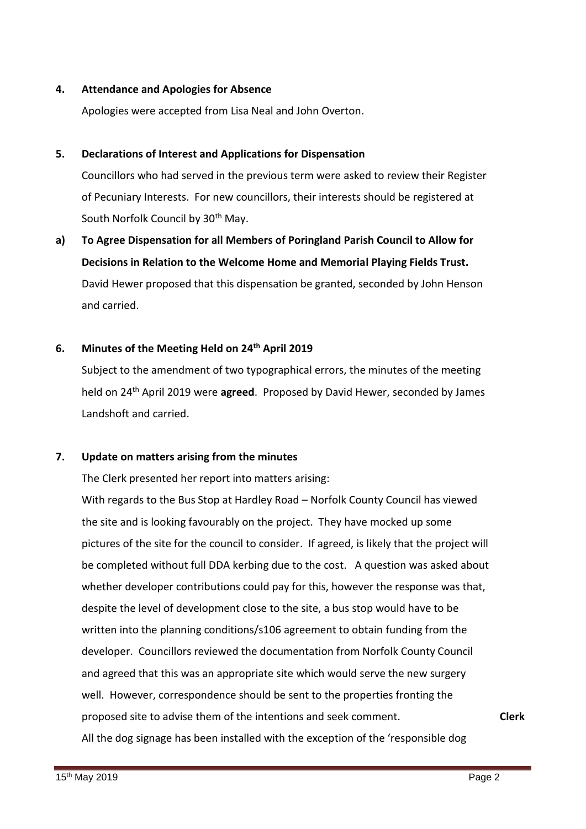## **4. Attendance and Apologies for Absence**

Apologies were accepted from Lisa Neal and John Overton.

#### **5. Declarations of Interest and Applications for Dispensation**

Councillors who had served in the previous term were asked to review their Register of Pecuniary Interests. For new councillors, their interests should be registered at South Norfolk Council by 30<sup>th</sup> May.

**a) To Agree Dispensation for all Members of Poringland Parish Council to Allow for Decisions in Relation to the Welcome Home and Memorial Playing Fields Trust.**  David Hewer proposed that this dispensation be granted, seconded by John Henson and carried.

# **6. Minutes of the Meeting Held on 24th April 2019**

Subject to the amendment of two typographical errors, the minutes of the meeting held on 24th April 2019 were **agreed**. Proposed by David Hewer, seconded by James Landshoft and carried.

### **7. Update on matters arising from the minutes**

The Clerk presented her report into matters arising:

With regards to the Bus Stop at Hardley Road – Norfolk County Council has viewed the site and is looking favourably on the project. They have mocked up some pictures of the site for the council to consider. If agreed, is likely that the project will be completed without full DDA kerbing due to the cost. A question was asked about whether developer contributions could pay for this, however the response was that, despite the level of development close to the site, a bus stop would have to be written into the planning conditions/s106 agreement to obtain funding from the developer. Councillors reviewed the documentation from Norfolk County Council and agreed that this was an appropriate site which would serve the new surgery well. However, correspondence should be sent to the properties fronting the proposed site to advise them of the intentions and seek comment.

**Clerk**

All the dog signage has been installed with the exception of the 'responsible dog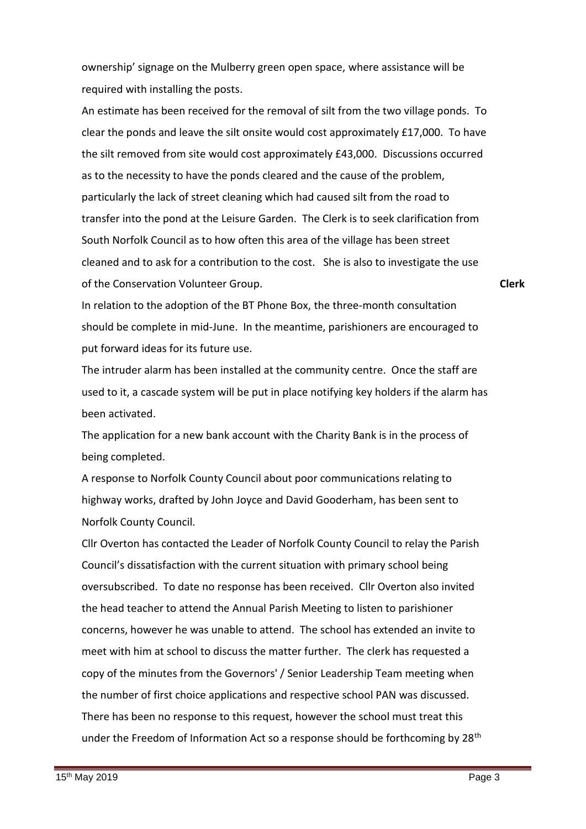ownership' signage on the Mulberry green open space, where assistance will be required with installing the posts.

An estimate has been received for the removal of silt from the two village ponds. To clear the ponds and leave the silt onsite would cost approximately £17,000. To have the silt removed from site would cost approximately £43,000. Discussions occurred as to the necessity to have the ponds cleared and the cause of the problem, particularly the lack of street cleaning which had caused silt from the road to transfer into the pond at the Leisure Garden. The Clerk is to seek clarification from South Norfolk Council as to how often this area of the village has been street cleaned and to ask for a contribution to the cost. She is also to investigate the use of the Conservation Volunteer Group.

**Clerk**

In relation to the adoption of the BT Phone Box, the three-month consultation should be complete in mid-June. In the meantime, parishioners are encouraged to put forward ideas for its future use.

The intruder alarm has been installed at the community centre. Once the staff are used to it, a cascade system will be put in place notifying key holders if the alarm has been activated.

The application for a new bank account with the Charity Bank is in the process of being completed.

A response to Norfolk County Council about poor communications relating to highway works, drafted by John Joyce and David Gooderham, has been sent to Norfolk County Council.

Cllr Overton has contacted the Leader of Norfolk County Council to relay the Parish Council's dissatisfaction with the current situation with primary school being oversubscribed. To date no response has been received. Cllr Overton also invited the head teacher to attend the Annual Parish Meeting to listen to parishioner concerns, however he was unable to attend. The school has extended an invite to meet with him at school to discuss the matter further. The clerk has requested a copy of the minutes from the Governors' / Senior Leadership Team meeting when the number of first choice applications and respective school PAN was discussed. There has been no response to this request, however the school must treat this under the Freedom of Information Act so a response should be forthcoming by 28<sup>th</sup>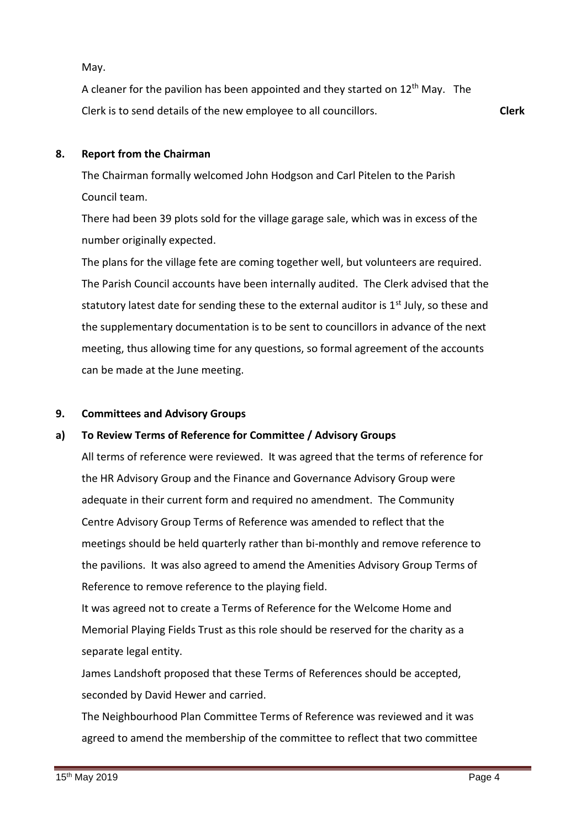May.

A cleaner for the pavilion has been appointed and they started on  $12<sup>th</sup>$  May. The Clerk is to send details of the new employee to all councillors. **Clerk**

#### **8. Report from the Chairman**

The Chairman formally welcomed John Hodgson and Carl Pitelen to the Parish Council team.

There had been 39 plots sold for the village garage sale, which was in excess of the number originally expected.

The plans for the village fete are coming together well, but volunteers are required. The Parish Council accounts have been internally audited. The Clerk advised that the statutory latest date for sending these to the external auditor is  $1<sup>st</sup>$  July, so these and the supplementary documentation is to be sent to councillors in advance of the next meeting, thus allowing time for any questions, so formal agreement of the accounts can be made at the June meeting.

#### **9. Committees and Advisory Groups**

#### **a) To Review Terms of Reference for Committee / Advisory Groups**

All terms of reference were reviewed. It was agreed that the terms of reference for the HR Advisory Group and the Finance and Governance Advisory Group were adequate in their current form and required no amendment. The Community Centre Advisory Group Terms of Reference was amended to reflect that the meetings should be held quarterly rather than bi-monthly and remove reference to the pavilions. It was also agreed to amend the Amenities Advisory Group Terms of Reference to remove reference to the playing field.

It was agreed not to create a Terms of Reference for the Welcome Home and Memorial Playing Fields Trust as this role should be reserved for the charity as a separate legal entity.

James Landshoft proposed that these Terms of References should be accepted, seconded by David Hewer and carried.

The Neighbourhood Plan Committee Terms of Reference was reviewed and it was agreed to amend the membership of the committee to reflect that two committee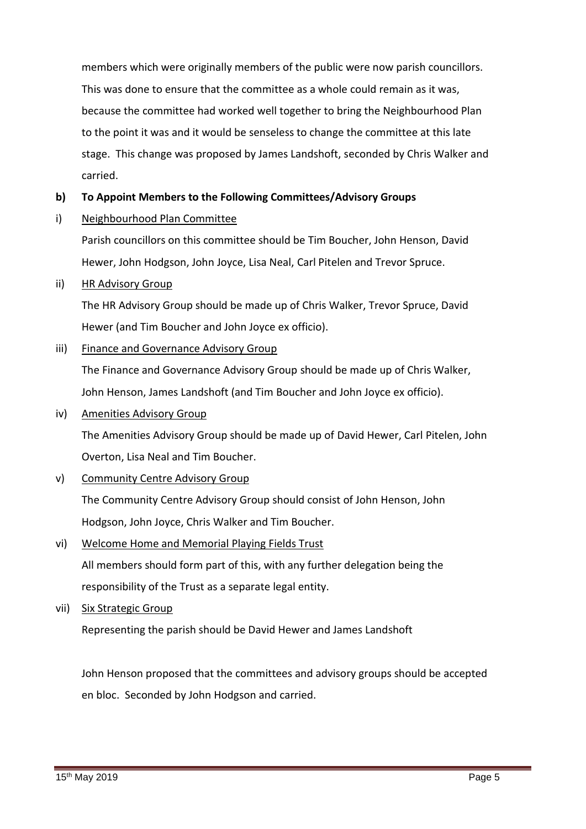members which were originally members of the public were now parish councillors. This was done to ensure that the committee as a whole could remain as it was, because the committee had worked well together to bring the Neighbourhood Plan to the point it was and it would be senseless to change the committee at this late stage. This change was proposed by James Landshoft, seconded by Chris Walker and carried.

#### **b) To Appoint Members to the Following Committees/Advisory Groups**

i) Neighbourhood Plan Committee

> Parish councillors on this committee should be Tim Boucher, John Henson, David Hewer, John Hodgson, John Joyce, Lisa Neal, Carl Pitelen and Trevor Spruce.

ii) HR Advisory Group

> The HR Advisory Group should be made up of Chris Walker, Trevor Spruce, David Hewer (and Tim Boucher and John Joyce ex officio).

iii) Finance and Governance Advisory Group

> The Finance and Governance Advisory Group should be made up of Chris Walker, John Henson, James Landshoft (and Tim Boucher and John Joyce ex officio).

iv) Amenities Advisory Group

> The Amenities Advisory Group should be made up of David Hewer, Carl Pitelen, John Overton, Lisa Neal and Tim Boucher.

v) Community Centre Advisory Group

> The Community Centre Advisory Group should consist of John Henson, John Hodgson, John Joyce, Chris Walker and Tim Boucher.

- vi) Welcome Home and Memorial Playing Fields Trust All members should form part of this, with any further delegation being the responsibility of the Trust as a separate legal entity.
- vii) Six Strategic Group

Representing the parish should be David Hewer and James Landshoft

John Henson proposed that the committees and advisory groups should be accepted en bloc. Seconded by John Hodgson and carried.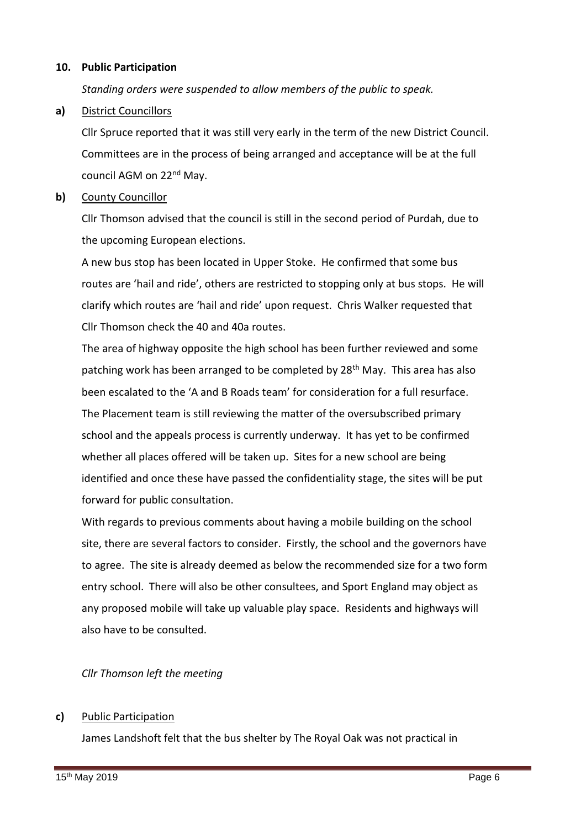# **10. Public Participation**

*Standing orders were suspended to allow members of the public to speak.*

# **a)** District Councillors

Cllr Spruce reported that it was still very early in the term of the new District Council. Committees are in the process of being arranged and acceptance will be at the full council AGM on 22<sup>nd</sup> May.

### **b)** County Councillor

Cllr Thomson advised that the council is still in the second period of Purdah, due to the upcoming European elections.

A new bus stop has been located in Upper Stoke. He confirmed that some bus routes are 'hail and ride', others are restricted to stopping only at bus stops. He will clarify which routes are 'hail and ride' upon request. Chris Walker requested that Cllr Thomson check the 40 and 40a routes.

The area of highway opposite the high school has been further reviewed and some patching work has been arranged to be completed by 28<sup>th</sup> May. This area has also been escalated to the 'A and B Roads team' for consideration for a full resurface. The Placement team is still reviewing the matter of the oversubscribed primary school and the appeals process is currently underway. It has yet to be confirmed whether all places offered will be taken up. Sites for a new school are being identified and once these have passed the confidentiality stage, the sites will be put forward for public consultation.

With regards to previous comments about having a mobile building on the school site, there are several factors to consider. Firstly, the school and the governors have to agree. The site is already deemed as below the recommended size for a two form entry school. There will also be other consultees, and Sport England may object as any proposed mobile will take up valuable play space. Residents and highways will also have to be consulted.

### *Cllr Thomson left the meeting*

### **c)** Public Participation

James Landshoft felt that the bus shelter by The Royal Oak was not practical in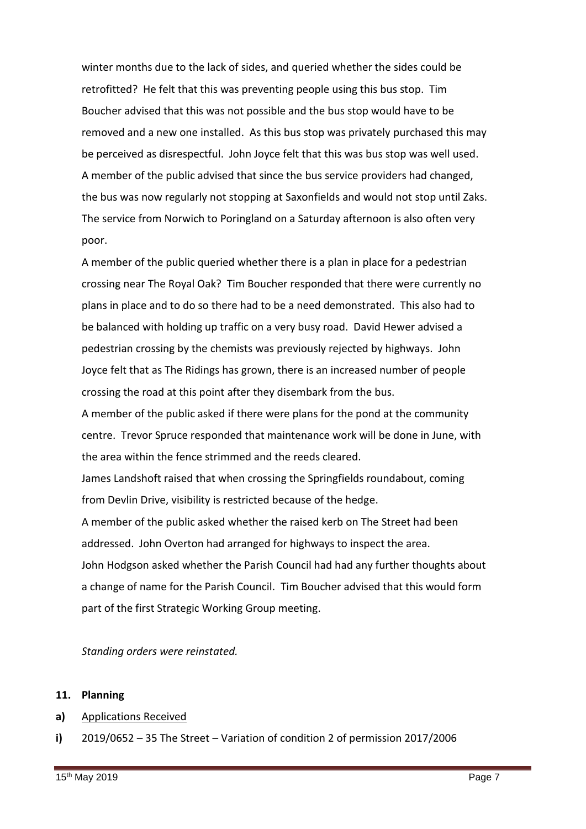winter months due to the lack of sides, and queried whether the sides could be retrofitted? He felt that this was preventing people using this bus stop. Tim Boucher advised that this was not possible and the bus stop would have to be removed and a new one installed. As this bus stop was privately purchased this may be perceived as disrespectful. John Joyce felt that this was bus stop was well used. A member of the public advised that since the bus service providers had changed, the bus was now regularly not stopping at Saxonfields and would not stop until Zaks. The service from Norwich to Poringland on a Saturday afternoon is also often very poor.

A member of the public queried whether there is a plan in place for a pedestrian crossing near The Royal Oak? Tim Boucher responded that there were currently no plans in place and to do so there had to be a need demonstrated. This also had to be balanced with holding up traffic on a very busy road. David Hewer advised a pedestrian crossing by the chemists was previously rejected by highways. John Joyce felt that as The Ridings has grown, there is an increased number of people crossing the road at this point after they disembark from the bus.

A member of the public asked if there were plans for the pond at the community centre. Trevor Spruce responded that maintenance work will be done in June, with the area within the fence strimmed and the reeds cleared.

James Landshoft raised that when crossing the Springfields roundabout, coming from Devlin Drive, visibility is restricted because of the hedge.

A member of the public asked whether the raised kerb on The Street had been addressed. John Overton had arranged for highways to inspect the area. John Hodgson asked whether the Parish Council had had any further thoughts about a change of name for the Parish Council. Tim Boucher advised that this would form part of the first Strategic Working Group meeting.

*Standing orders were reinstated.* 

# **11. Planning**

- **a)** Applications Received
- **i)** 2019/0652 – 35 The Street – Variation of condition 2 of permission 2017/2006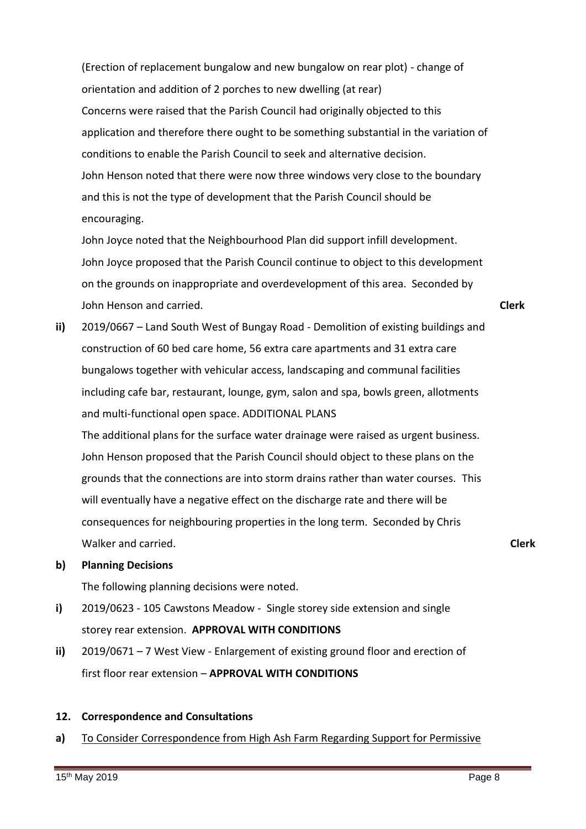(Erection of replacement bungalow and new bungalow on rear plot) - change of orientation and addition of 2 porches to new dwelling (at rear) Concerns were raised that the Parish Council had originally objected to this application and therefore there ought to be something substantial in the variation of conditions to enable the Parish Council to seek and alternative decision. John Henson noted that there were now three windows very close to the boundary and this is not the type of development that the Parish Council should be encouraging.

John Joyce noted that the Neighbourhood Plan did support infill development. John Joyce proposed that the Parish Council continue to object to this development on the grounds on inappropriate and overdevelopment of this area. Seconded by John Henson and carried.

**Clerk**

**Clerk**

**ii)** 2019/0667 – Land South West of Bungay Road - Demolition of existing buildings and construction of 60 bed care home, 56 extra care apartments and 31 extra care bungalows together with vehicular access, landscaping and communal facilities including cafe bar, restaurant, lounge, gym, salon and spa, bowls green, allotments and multi-functional open space. ADDITIONAL PLANS

The additional plans for the surface water drainage were raised as urgent business. John Henson proposed that the Parish Council should object to these plans on the grounds that the connections are into storm drains rather than water courses. This will eventually have a negative effect on the discharge rate and there will be consequences for neighbouring properties in the long term. Seconded by Chris Walker and carried.

#### **b) Planning Decisions**

The following planning decisions were noted.

- **i)** 2019/0623 - 105 Cawstons Meadow - Single storey side extension and single storey rear extension. **APPROVAL WITH CONDITIONS**
- **ii)** 2019/0671 – 7 West View - Enlargement of existing ground floor and erection of first floor rear extension – **APPROVAL WITH CONDITIONS**

### **12. Correspondence and Consultations**

**a)** To Consider Correspondence from High Ash Farm Regarding Support for Permissive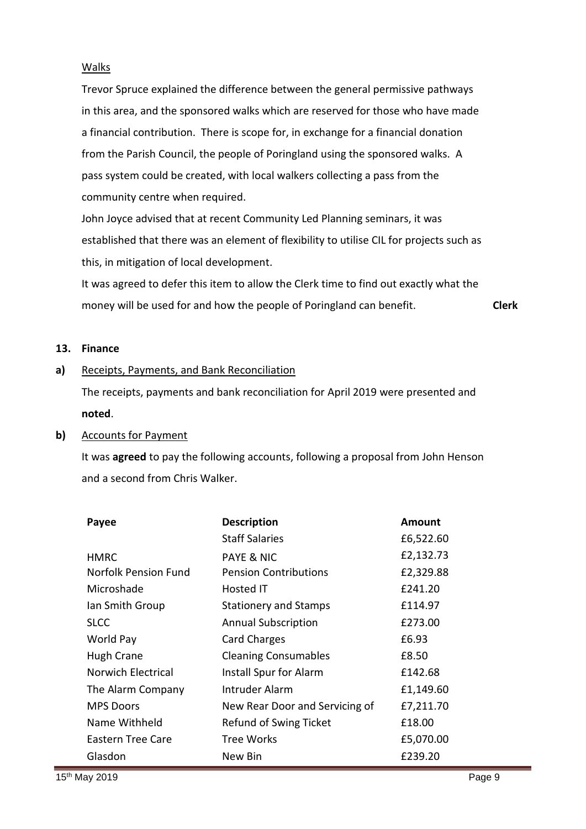### Walks

Trevor Spruce explained the difference between the general permissive pathways in this area, and the sponsored walks which are reserved for those who have made a financial contribution. There is scope for, in exchange for a financial donation from the Parish Council, the people of Poringland using the sponsored walks. A pass system could be created, with local walkers collecting a pass from the community centre when required.

John Joyce advised that at recent Community Led Planning seminars, it was established that there was an element of flexibility to utilise CIL for projects such as this, in mitigation of local development.

It was agreed to defer this item to allow the Clerk time to find out exactly what the money will be used for and how the people of Poringland can benefit. **Clerk**

### **13. Finance**

**a)** Receipts, Payments, and Bank Reconciliation

> The receipts, payments and bank reconciliation for April 2019 were presented and **noted**.

# **b)** Accounts for Payment

It was **agreed** to pay the following accounts, following a proposal from John Henson and a second from Chris Walker.

| Payee                | <b>Description</b>             | Amount    |
|----------------------|--------------------------------|-----------|
|                      | <b>Staff Salaries</b>          | £6,522.60 |
| <b>HMRC</b>          | <b>PAYE &amp; NIC</b>          | £2,132.73 |
| Norfolk Pension Fund | <b>Pension Contributions</b>   | £2,329.88 |
| Microshade           | Hosted IT                      | £241.20   |
| Ian Smith Group      | <b>Stationery and Stamps</b>   | £114.97   |
| <b>SLCC</b>          | <b>Annual Subscription</b>     | £273.00   |
| World Pay            | <b>Card Charges</b>            | £6.93     |
| Hugh Crane           | <b>Cleaning Consumables</b>    | £8.50     |
| Norwich Electrical   | Install Spur for Alarm         | £142.68   |
| The Alarm Company    | Intruder Alarm                 | £1,149.60 |
| <b>MPS Doors</b>     | New Rear Door and Servicing of | £7,211.70 |
| Name Withheld        | Refund of Swing Ticket         | £18.00    |
| Eastern Tree Care    | <b>Tree Works</b>              | £5,070.00 |
| Glasdon              | New Bin                        | £239.20   |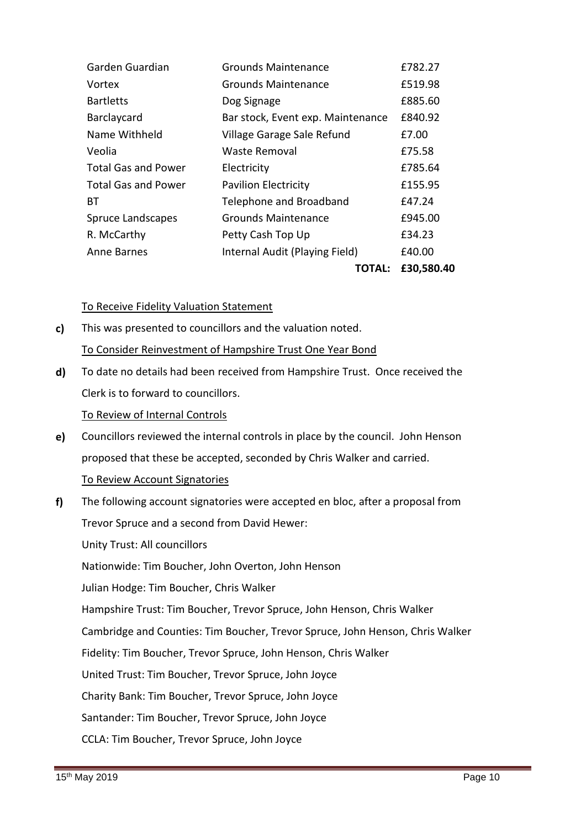|                            |                                   | TOTAL: | £30,580.40 |
|----------------------------|-----------------------------------|--------|------------|
| Anne Barnes                | Internal Audit (Playing Field)    |        | £40.00     |
| R. McCarthy                | Petty Cash Top Up                 |        | £34.23     |
| <b>Spruce Landscapes</b>   | <b>Grounds Maintenance</b>        |        | £945.00    |
| BТ                         | Telephone and Broadband           |        | £47.24     |
| <b>Total Gas and Power</b> | <b>Pavilion Electricity</b>       |        | £155.95    |
| <b>Total Gas and Power</b> | Electricity                       |        | £785.64    |
| Veolia                     | Waste Removal                     |        | £75.58     |
| Name Withheld              | Village Garage Sale Refund        |        | £7.00      |
| Barclaycard                | Bar stock, Event exp. Maintenance |        | £840.92    |
| <b>Bartletts</b>           | Dog Signage                       |        | £885.60    |
| Vortex                     | Grounds Maintenance               |        | £519.98    |
| Garden Guardian            | <b>Grounds Maintenance</b>        |        | £782.27    |

# To Receive Fidelity Valuation Statement

- **c)**  This was presented to councillors and the valuation noted. To Consider Reinvestment of Hampshire Trust One Year Bond
- **d)** To date no details had been received from Hampshire Trust. Once received the Clerk is to forward to councillors.

# To Review of Internal Controls

- **e)**  Councillors reviewed the internal controls in place by the council. John Henson proposed that these be accepted, seconded by Chris Walker and carried. To Review Account Signatories
- **f)**  The following account signatories were accepted en bloc, after a proposal from Trevor Spruce and a second from David Hewer: Unity Trust: All councillors Nationwide: Tim Boucher, John Overton, John Henson Julian Hodge: Tim Boucher, Chris Walker Hampshire Trust: Tim Boucher, Trevor Spruce, John Henson, Chris Walker Cambridge and Counties: Tim Boucher, Trevor Spruce, John Henson, Chris Walker Fidelity: Tim Boucher, Trevor Spruce, John Henson, Chris Walker United Trust: Tim Boucher, Trevor Spruce, John Joyce Charity Bank: Tim Boucher, Trevor Spruce, John Joyce Santander: Tim Boucher, Trevor Spruce, John Joyce CCLA: Tim Boucher, Trevor Spruce, John Joyce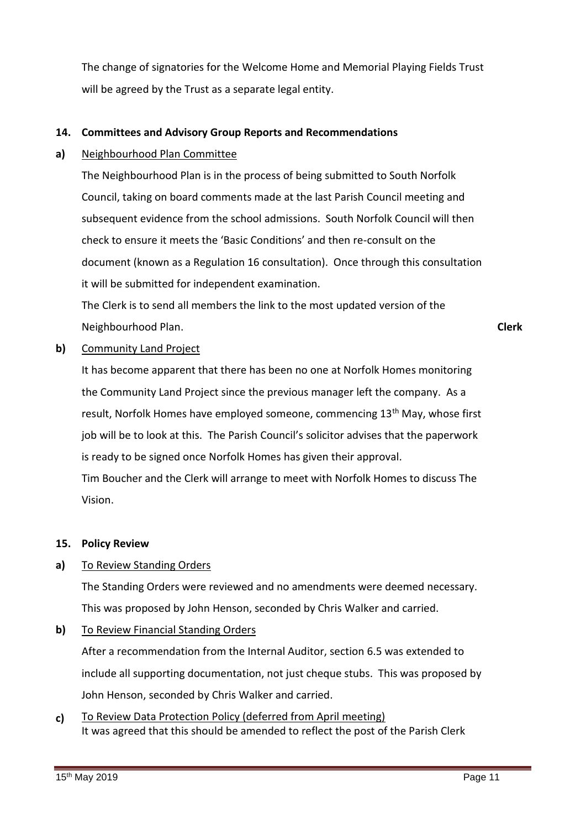The change of signatories for the Welcome Home and Memorial Playing Fields Trust will be agreed by the Trust as a separate legal entity.

#### **14. Committees and Advisory Group Reports and Recommendations**

#### **a)** Neighbourhood Plan Committee

The Neighbourhood Plan is in the process of being submitted to South Norfolk Council, taking on board comments made at the last Parish Council meeting and subsequent evidence from the school admissions. South Norfolk Council will then check to ensure it meets the 'Basic Conditions' and then re-consult on the document (known as a Regulation 16 consultation). Once through this consultation it will be submitted for independent examination.

The Clerk is to send all members the link to the most updated version of the Neighbourhood Plan.

**Clerk**

#### **b)**  Community Land Project

It has become apparent that there has been no one at Norfolk Homes monitoring the Community Land Project since the previous manager left the company. As a result, Norfolk Homes have employed someone, commencing 13th May, whose first job will be to look at this. The Parish Council's solicitor advises that the paperwork is ready to be signed once Norfolk Homes has given their approval. Tim Boucher and the Clerk will arrange to meet with Norfolk Homes to discuss The Vision.

# **15. Policy Review**

#### **a)** To Review Standing Orders

The Standing Orders were reviewed and no amendments were deemed necessary. This was proposed by John Henson, seconded by Chris Walker and carried.

**b)**  To Review Financial Standing Orders

> After a recommendation from the Internal Auditor, section 6.5 was extended to include all supporting documentation, not just cheque stubs. This was proposed by John Henson, seconded by Chris Walker and carried.

**c)**  To Review Data Protection Policy (deferred from April meeting) It was agreed that this should be amended to reflect the post of the Parish Clerk